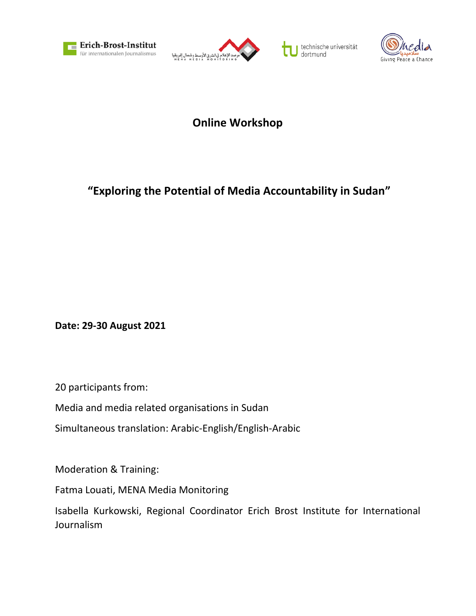







**Online Workshop**

## **"Exploring the Potential of Media Accountability in Sudan"**

**Date: 29-30 August 2021**

20 participants from:

Media and media related organisations in Sudan

Simultaneous translation: Arabic-English/English-Arabic

Moderation & Training:

Fatma Louati, MENA Media Monitoring

Isabella Kurkowski, Regional Coordinator Erich Brost Institute for International Journalism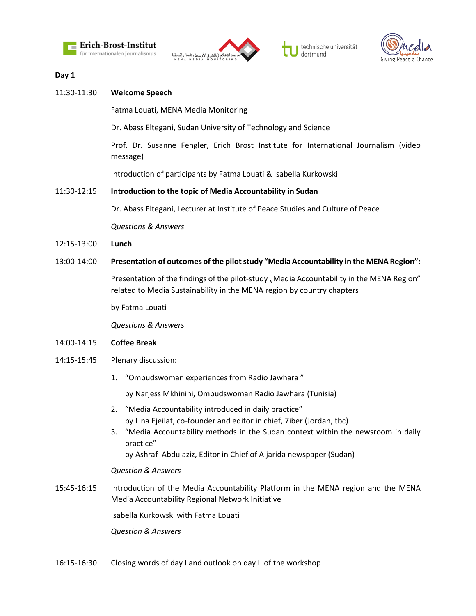



technische universität<br>dortmund τ



## **Day 1**

| 11:30-11:30 | <b>Welcome Speech</b>                                                                                                                                                                                                                            |
|-------------|--------------------------------------------------------------------------------------------------------------------------------------------------------------------------------------------------------------------------------------------------|
|             | Fatma Louati, MENA Media Monitoring                                                                                                                                                                                                              |
|             | Dr. Abass Eltegani, Sudan University of Technology and Science                                                                                                                                                                                   |
|             | Prof. Dr. Susanne Fengler, Erich Brost Institute for International Journalism (video<br>message)                                                                                                                                                 |
|             | Introduction of participants by Fatma Louati & Isabella Kurkowski                                                                                                                                                                                |
| 11:30-12:15 | Introduction to the topic of Media Accountability in Sudan                                                                                                                                                                                       |
|             | Dr. Abass Eltegani, Lecturer at Institute of Peace Studies and Culture of Peace                                                                                                                                                                  |
|             | <b>Questions &amp; Answers</b>                                                                                                                                                                                                                   |
| 12:15-13:00 | Lunch                                                                                                                                                                                                                                            |
| 13:00-14:00 | Presentation of outcomes of the pilot study "Media Accountability in the MENA Region":                                                                                                                                                           |
|             | Presentation of the findings of the pilot-study "Media Accountability in the MENA Region"<br>related to Media Sustainability in the MENA region by country chapters                                                                              |
|             | by Fatma Louati                                                                                                                                                                                                                                  |
|             | <b>Questions &amp; Answers</b>                                                                                                                                                                                                                   |
| 14:00-14:15 | <b>Coffee Break</b>                                                                                                                                                                                                                              |
| 14:15-15:45 | Plenary discussion:                                                                                                                                                                                                                              |
|             | "Ombudswoman experiences from Radio Jawhara"<br>1.                                                                                                                                                                                               |
|             | by Narjess Mkhinini, Ombudswoman Radio Jawhara (Tunisia)                                                                                                                                                                                         |
|             | 2. "Media Accountability introduced in daily practice"                                                                                                                                                                                           |
|             | by Lina Ejeilat, co-founder and editor in chief, 7iber (Jordan, tbc)<br>"Media Accountability methods in the Sudan context within the newsroom in daily<br>3.<br>practice"<br>by Ashraf Abdulaziz, Editor in Chief of Aljarida newspaper (Sudan) |
|             | <b>Question &amp; Answers</b>                                                                                                                                                                                                                    |
| 15:45-16:15 | Introduction of the Media Accountability Platform in the MENA region and the MENA                                                                                                                                                                |

Isabella Kurkowski with Fatma Louati

*Question & Answers*

16:15-16:30 Closing words of day I and outlook on day II of the workshop

Media Accountability Regional Network Initiative